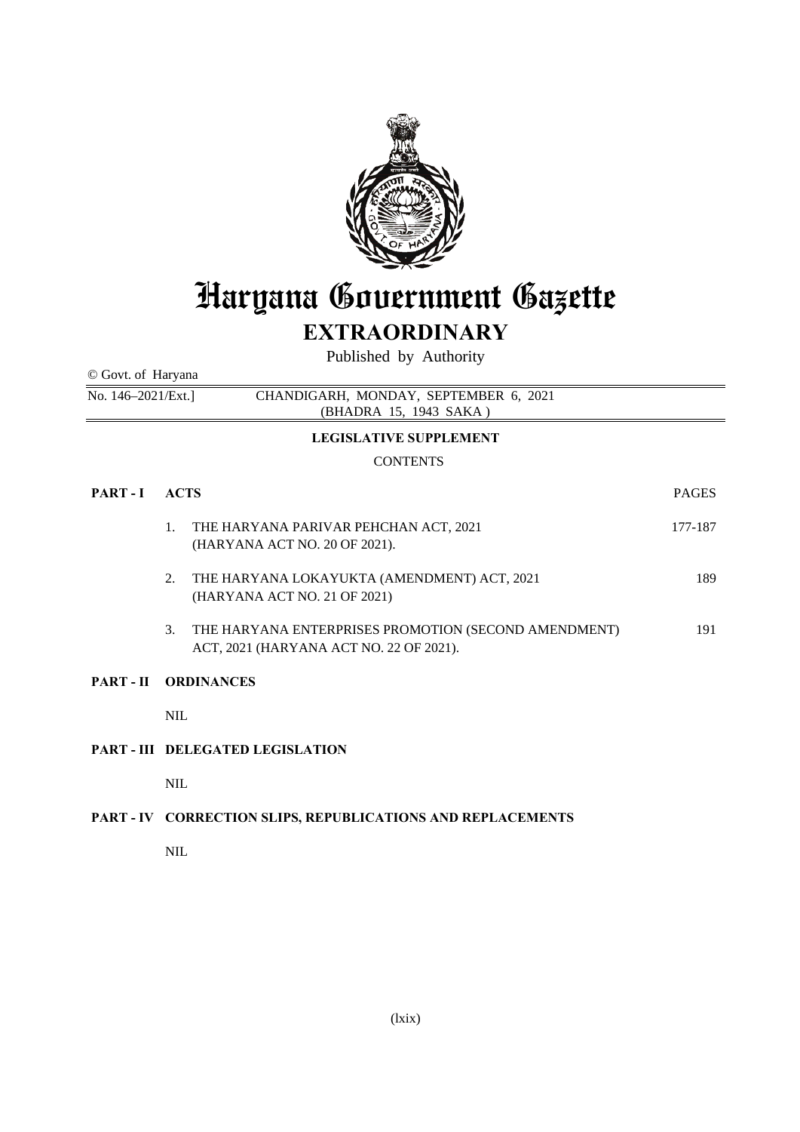

# Haryana Government Gazette

# **EXTRAORDINARY**

Published by Authority

© Govt. of Haryana

No. 146–2021/Ext.] CHANDIGARH, MONDAY, SEPTEMBER 6, 2021 (BHADRA 15, 1943 SAKA )

## **LEGISLATIVE SUPPLEMENT**

# **CONTENTS**

| PART-I | <b>ACTS</b>                             |                                                                                                 | <b>PAGES</b> |
|--------|-----------------------------------------|-------------------------------------------------------------------------------------------------|--------------|
|        | 1.                                      | THE HARYANA PARIVAR PEHCHAN ACT, 2021<br>(HARYANA ACT NO. 20 OF 2021).                          | 177-187      |
|        | 2.                                      | THE HARYANA LOKAYUKTA (AMENDMENT) ACT, 2021<br>(HARYANA ACT NO. 21 OF 2021)                     | 189          |
|        | 3.                                      | THE HARYANA ENTERPRISES PROMOTION (SECOND AMENDMENT)<br>ACT, 2021 (HARYANA ACT NO. 22 OF 2021). | 191          |
|        | PART-II ORDINANCES                      |                                                                                                 |              |
|        | <b>NIL</b>                              |                                                                                                 |              |
|        | <b>PART - III DELEGATED LEGISLATION</b> |                                                                                                 |              |
|        | <b>NIL</b>                              |                                                                                                 |              |
|        |                                         |                                                                                                 |              |

# **PART - IV CORRECTION SLIPS, REPUBLICATIONS AND REPLACEMENTS**

NIL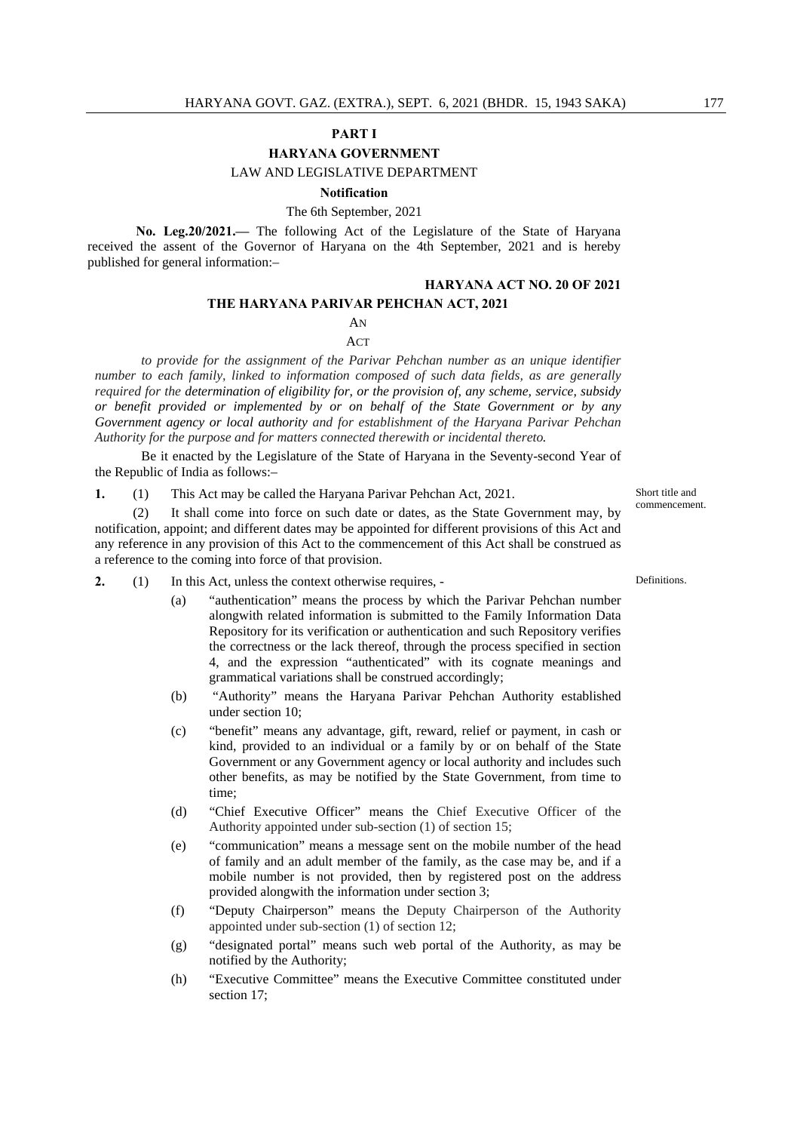#### **PART I**

#### **HARYANA GOVERNMENT**

LAW AND LEGISLATIVE DEPARTMENT

#### **Notification**

#### The 6th September, 2021

**No. Leg.20/2021.—** The following Act of the Legislature of the State of Haryana received the assent of the Governor of Haryana on the 4th September, 2021 and is hereby published for general information:–

# **HARYANA ACT NO. 20 OF 2021**

## **THE HARYANA PARIVAR PEHCHAN ACT, 2021**

#### AN

ACT

*to provide for the assignment of the Parivar Pehchan number as an unique identifier number to each family, linked to information composed of such data fields, as are generally required for the determination of eligibility for, or the provision of, any scheme, service, subsidy or benefit provided or implemented by or on behalf of the State Government or by any Government agency or local authority and for establishment of the Haryana Parivar Pehchan Authority for the purpose and for matters connected therewith or incidental thereto.* 

 Be it enacted by the Legislature of the State of Haryana in the Seventy-second Year of the Republic of India as follows:–

**1.** (1) This Act may be called the Haryana Parivar Pehchan Act, 2021.

 (2) It shall come into force on such date or dates, as the State Government may, by notification, appoint; and different dates may be appointed for different provisions of this Act and any reference in any provision of this Act to the commencement of this Act shall be construed as a reference to the coming into force of that provision.

- **2.** (1) In this Act, unless the context otherwise requires,
	- (a) "authentication" means the process by which the Parivar Pehchan number alongwith related information is submitted to the Family Information Data Repository for its verification or authentication and such Repository verifies the correctness or the lack thereof, through the process specified in section 4, and the expression "authenticated" with its cognate meanings and grammatical variations shall be construed accordingly;
	- (b) "Authority" means the Haryana Parivar Pehchan Authority established under section 10;
	- (c) "benefit" means any advantage, gift, reward, relief or payment, in cash or kind, provided to an individual or a family by or on behalf of the State Government or any Government agency or local authority and includes such other benefits, as may be notified by the State Government, from time to time;
	- (d) "Chief Executive Officer" means the Chief Executive Officer of the Authority appointed under sub-section (1) of section 15;
	- (e) "communication" means a message sent on the mobile number of the head of family and an adult member of the family, as the case may be, and if a mobile number is not provided, then by registered post on the address provided alongwith the information under section 3;
	- (f) "Deputy Chairperson" means the Deputy Chairperson of the Authority appointed under sub-section (1) of section 12;
	- (g) "designated portal" means such web portal of the Authority, as may be notified by the Authority;
	- (h) "Executive Committee" means the Executive Committee constituted under section 17:

Short title and commencement.

Definitions.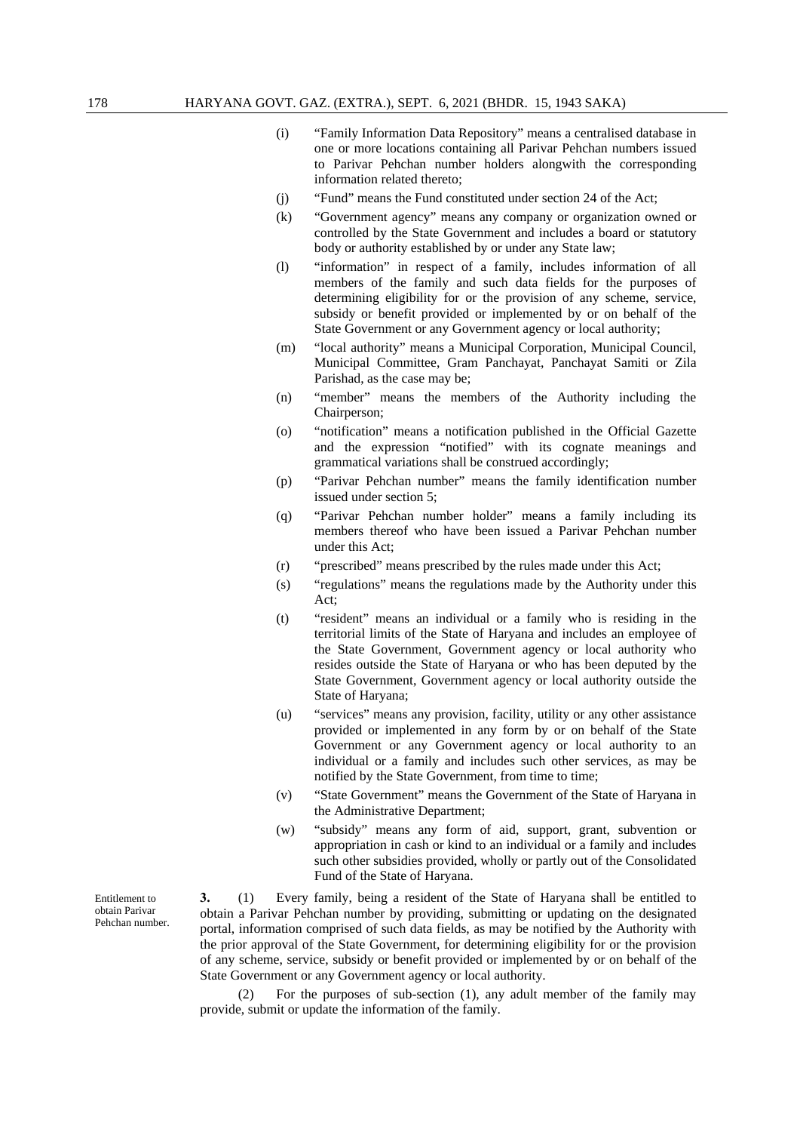- (i) "Family Information Data Repository" means a centralised database in one or more locations containing all Parivar Pehchan numbers issued to Parivar Pehchan number holders alongwith the corresponding information related thereto;
- (j) "Fund" means the Fund constituted under section 24 of the Act;
- (k) "Government agency" means any company or organization owned or controlled by the State Government and includes a board or statutory body or authority established by or under any State law;
- (l) "information" in respect of a family, includes information of all members of the family and such data fields for the purposes of determining eligibility for or the provision of any scheme, service, subsidy or benefit provided or implemented by or on behalf of the State Government or any Government agency or local authority;
- (m) "local authority" means a Municipal Corporation, Municipal Council, Municipal Committee, Gram Panchayat, Panchayat Samiti or Zila Parishad, as the case may be;
- (n) "member" means the members of the Authority including the Chairperson;
- (o) "notification" means a notification published in the Official Gazette and the expression "notified" with its cognate meanings and grammatical variations shall be construed accordingly;
- (p) "Parivar Pehchan number" means the family identification number issued under section 5;
- (q) "Parivar Pehchan number holder" means a family including its members thereof who have been issued a Parivar Pehchan number under this Act;
- (r) "prescribed" means prescribed by the rules made under this Act;
- (s) "regulations" means the regulations made by the Authority under this  $Act$
- (t) "resident" means an individual or a family who is residing in the territorial limits of the State of Haryana and includes an employee of the State Government, Government agency or local authority who resides outside the State of Haryana or who has been deputed by the State Government, Government agency or local authority outside the State of Haryana;
- (u) "services" means any provision, facility, utility or any other assistance provided or implemented in any form by or on behalf of the State Government or any Government agency or local authority to an individual or a family and includes such other services, as may be notified by the State Government, from time to time;
- (v) "State Government" means the Government of the State of Haryana in the Administrative Department;
- (w) "subsidy" means any form of aid, support, grant, subvention or appropriation in cash or kind to an individual or a family and includes such other subsidies provided, wholly or partly out of the Consolidated Fund of the State of Haryana.

**3.** (1) Every family, being a resident of the State of Haryana shall be entitled to obtain a Parivar Pehchan number by providing, submitting or updating on the designated portal, information comprised of such data fields, as may be notified by the Authority with the prior approval of the State Government, for determining eligibility for or the provision of any scheme, service, subsidy or benefit provided or implemented by or on behalf of the State Government or any Government agency or local authority.

 (2) For the purposes of sub-section (1), any adult member of the family may provide, submit or update the information of the family.

Entitlement to obtain Parivar Pehchan number.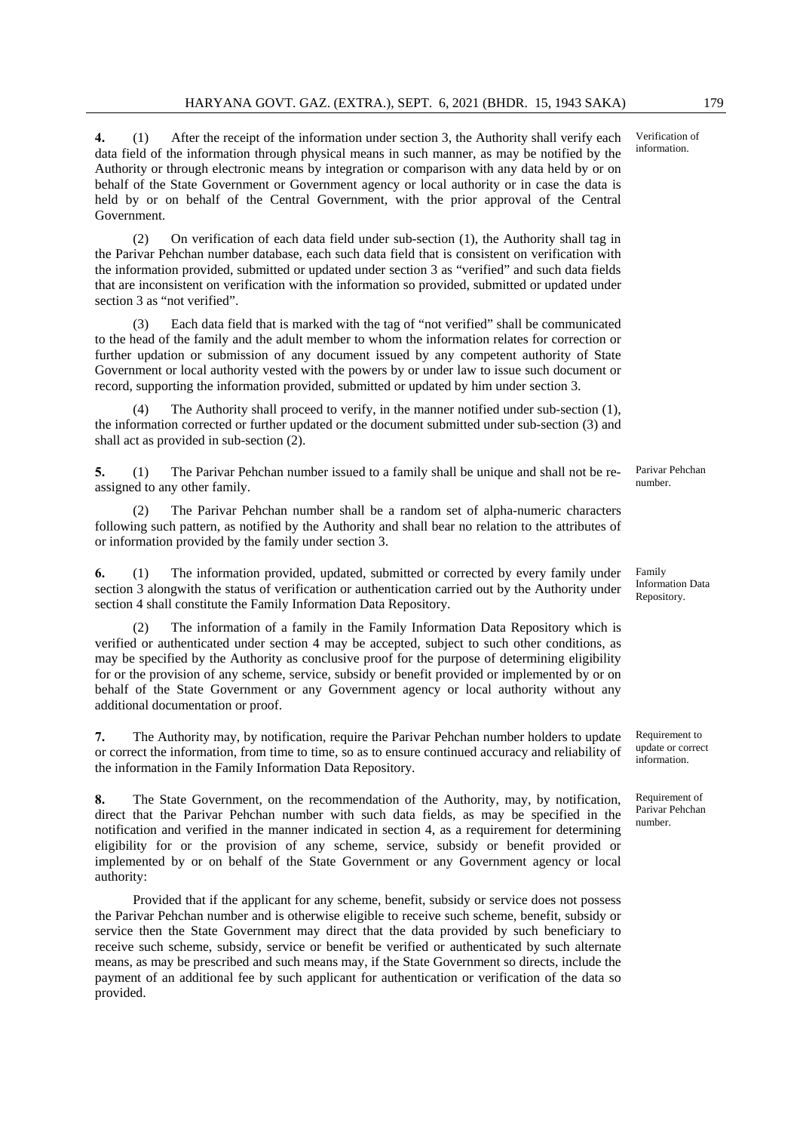**4.** (1) After the receipt of the information under section 3, the Authority shall verify each data field of the information through physical means in such manner, as may be notified by the Authority or through electronic means by integration or comparison with any data held by or on behalf of the State Government or Government agency or local authority or in case the data is held by or on behalf of the Central Government, with the prior approval of the Central Government.

 (2) On verification of each data field under sub-section (1), the Authority shall tag in the Parivar Pehchan number database, each such data field that is consistent on verification with the information provided, submitted or updated under section 3 as "verified" and such data fields that are inconsistent on verification with the information so provided, submitted or updated under section 3 as "not verified".

Each data field that is marked with the tag of "not verified" shall be communicated to the head of the family and the adult member to whom the information relates for correction or further updation or submission of any document issued by any competent authority of State Government or local authority vested with the powers by or under law to issue such document or record, supporting the information provided, submitted or updated by him under section 3.

 (4) The Authority shall proceed to verify, in the manner notified under sub-section (1), the information corrected or further updated or the document submitted under sub-section (3) and shall act as provided in sub-section (2).

**5.** (1) The Parivar Pehchan number issued to a family shall be unique and shall not be reassigned to any other family.

 (2) The Parivar Pehchan number shall be a random set of alpha-numeric characters following such pattern, as notified by the Authority and shall bear no relation to the attributes of or information provided by the family under section 3.

**6.** (1) The information provided, updated, submitted or corrected by every family under section 3 alongwith the status of verification or authentication carried out by the Authority under section 4 shall constitute the Family Information Data Repository.

 (2) The information of a family in the Family Information Data Repository which is verified or authenticated under section 4 may be accepted, subject to such other conditions, as may be specified by the Authority as conclusive proof for the purpose of determining eligibility for or the provision of any scheme, service, subsidy or benefit provided or implemented by or on behalf of the State Government or any Government agency or local authority without any additional documentation or proof.

**7.** The Authority may, by notification, require the Parivar Pehchan number holders to update or correct the information, from time to time, so as to ensure continued accuracy and reliability of the information in the Family Information Data Repository.

**8.** The State Government, on the recommendation of the Authority, may, by notification, direct that the Parivar Pehchan number with such data fields, as may be specified in the notification and verified in the manner indicated in section 4, as a requirement for determining eligibility for or the provision of any scheme, service, subsidy or benefit provided or implemented by or on behalf of the State Government or any Government agency or local authority:

 Provided that if the applicant for any scheme, benefit, subsidy or service does not possess the Parivar Pehchan number and is otherwise eligible to receive such scheme, benefit, subsidy or service then the State Government may direct that the data provided by such beneficiary to receive such scheme, subsidy, service or benefit be verified or authenticated by such alternate means, as may be prescribed and such means may, if the State Government so directs, include the payment of an additional fee by such applicant for authentication or verification of the data so provided.

Verification of information.

Parivar Pehchan number.

Repository.

Family Information Data

Requirement to update or correct information.

Requirement of Parivar Pehchan number.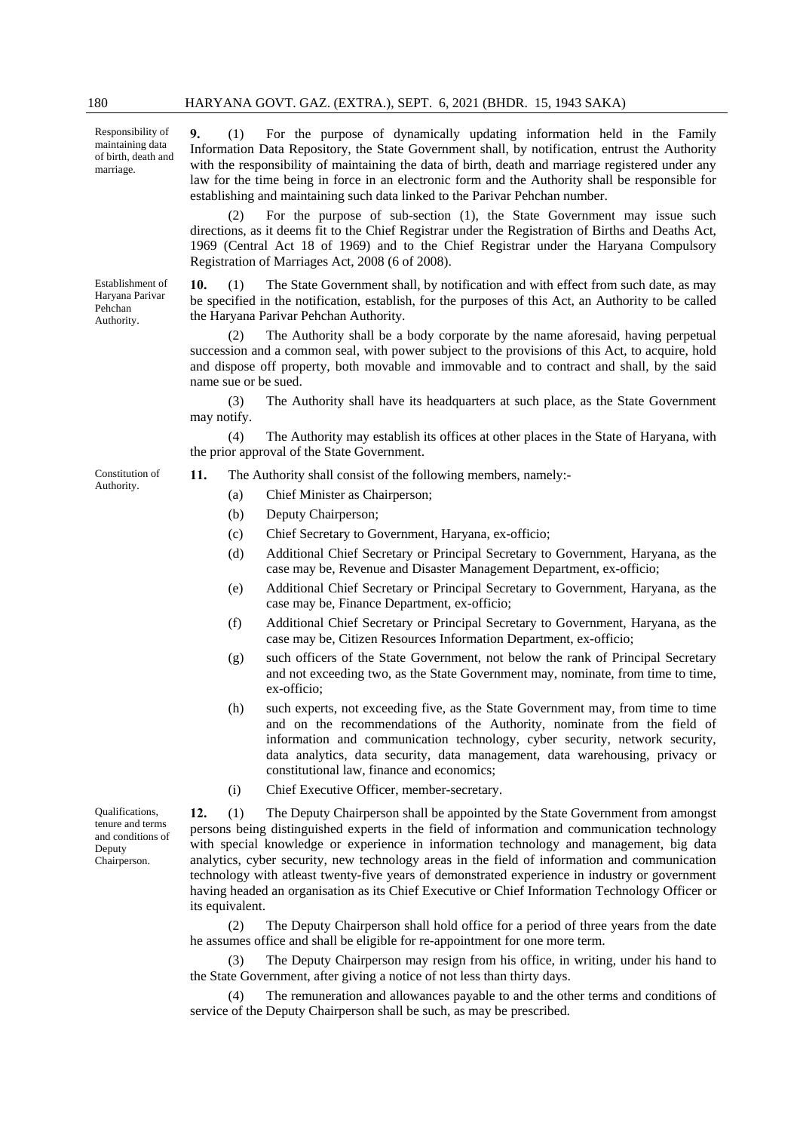Responsibility of maintaining data of birth, death and marriage.

Establishment of Haryana Parivar Pehchan Authority.

**9.** (1) For the purpose of dynamically updating information held in the Family Information Data Repository, the State Government shall, by notification, entrust the Authority with the responsibility of maintaining the data of birth, death and marriage registered under any law for the time being in force in an electronic form and the Authority shall be responsible for establishing and maintaining such data linked to the Parivar Pehchan number.

 (2) For the purpose of sub-section (1), the State Government may issue such directions, as it deems fit to the Chief Registrar under the Registration of Births and Deaths Act, 1969 (Central Act 18 of 1969) and to the Chief Registrar under the Haryana Compulsory Registration of Marriages Act, 2008 (6 of 2008).

**10.** (1) The State Government shall, by notification and with effect from such date, as may be specified in the notification, establish, for the purposes of this Act, an Authority to be called the Haryana Parivar Pehchan Authority.

 (2) The Authority shall be a body corporate by the name aforesaid, having perpetual succession and a common seal, with power subject to the provisions of this Act, to acquire, hold and dispose off property, both movable and immovable and to contract and shall, by the said name sue or be sued.

 (3) The Authority shall have its headquarters at such place, as the State Government may notify.

 (4) The Authority may establish its offices at other places in the State of Haryana, with the prior approval of the State Government.

Constitution of Authority.

- **11.** The Authority shall consist of the following members, namely:-
	- (a) Chief Minister as Chairperson;
	- (b) Deputy Chairperson;
	- (c) Chief Secretary to Government, Haryana, ex-officio;
	- (d) Additional Chief Secretary or Principal Secretary to Government, Haryana, as the case may be, Revenue and Disaster Management Department, ex-officio;
	- (e) Additional Chief Secretary or Principal Secretary to Government, Haryana, as the case may be, Finance Department, ex-officio;
	- (f) Additional Chief Secretary or Principal Secretary to Government, Haryana, as the case may be, Citizen Resources Information Department, ex-officio;
	- (g) such officers of the State Government, not below the rank of Principal Secretary and not exceeding two, as the State Government may, nominate, from time to time, ex-officio;
	- (h) such experts, not exceeding five, as the State Government may, from time to time and on the recommendations of the Authority, nominate from the field of information and communication technology, cyber security, network security, data analytics, data security, data management, data warehousing, privacy or constitutional law, finance and economics;
	- (i) Chief Executive Officer, member-secretary.

**12.** (1) The Deputy Chairperson shall be appointed by the State Government from amongst persons being distinguished experts in the field of information and communication technology with special knowledge or experience in information technology and management, big data analytics, cyber security, new technology areas in the field of information and communication technology with atleast twenty-five years of demonstrated experience in industry or government having headed an organisation as its Chief Executive or Chief Information Technology Officer or its equivalent.

 (2) The Deputy Chairperson shall hold office for a period of three years from the date he assumes office and shall be eligible for re-appointment for one more term.

 (3) The Deputy Chairperson may resign from his office, in writing, under his hand to the State Government, after giving a notice of not less than thirty days.

 (4) The remuneration and allowances payable to and the other terms and conditions of service of the Deputy Chairperson shall be such, as may be prescribed.

Qualifications, tenure and terms and conditions of Deputy Chairperson.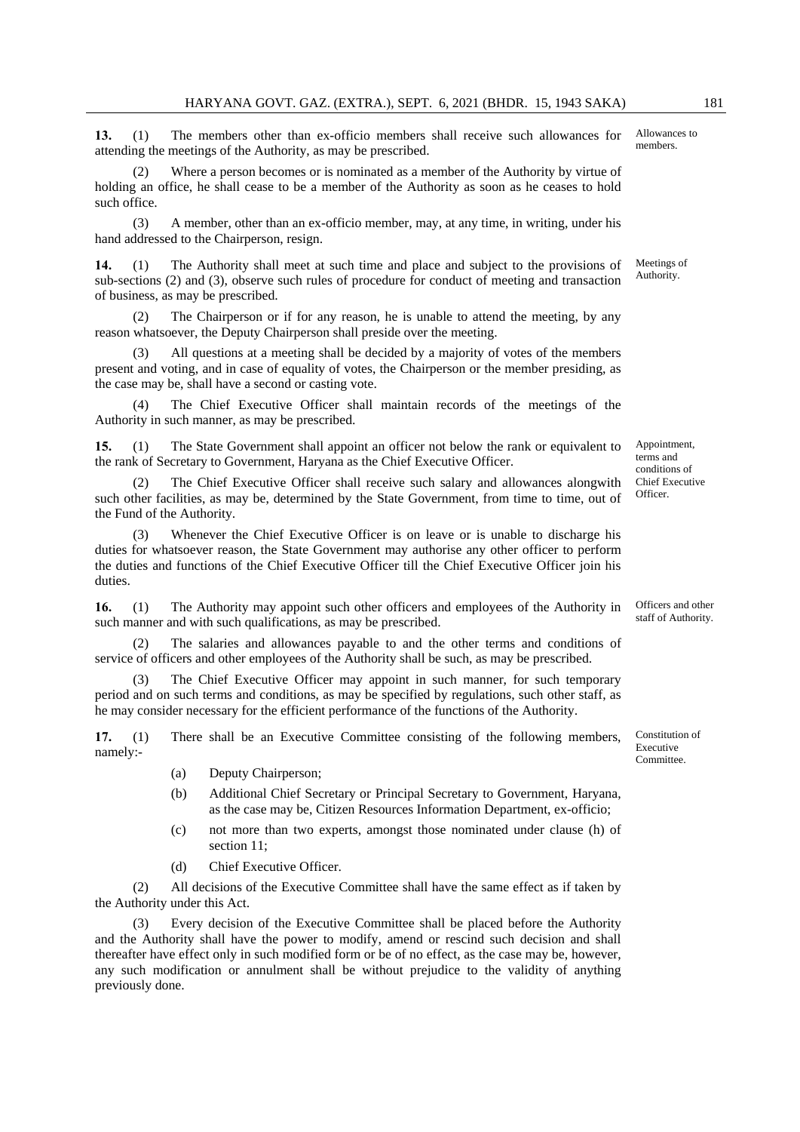**13.** (1) The members other than ex-officio members shall receive such allowances for attending the meetings of the Authority, as may be prescribed.

Where a person becomes or is nominated as a member of the Authority by virtue of holding an office, he shall cease to be a member of the Authority as soon as he ceases to hold such office.

 (3) A member, other than an ex-officio member, may, at any time, in writing, under his hand addressed to the Chairperson, resign.

**14.** (1) The Authority shall meet at such time and place and subject to the provisions of sub-sections (2) and (3), observe such rules of procedure for conduct of meeting and transaction of business, as may be prescribed.

 (2) The Chairperson or if for any reason, he is unable to attend the meeting, by any reason whatsoever, the Deputy Chairperson shall preside over the meeting.

All questions at a meeting shall be decided by a majority of votes of the members present and voting, and in case of equality of votes, the Chairperson or the member presiding, as the case may be, shall have a second or casting vote.

 (4) The Chief Executive Officer shall maintain records of the meetings of the Authority in such manner, as may be prescribed.

**15.** (1) The State Government shall appoint an officer not below the rank or equivalent to the rank of Secretary to Government, Haryana as the Chief Executive Officer.

The Chief Executive Officer shall receive such salary and allowances alongwith such other facilities, as may be, determined by the State Government, from time to time, out of the Fund of the Authority.

Whenever the Chief Executive Officer is on leave or is unable to discharge his duties for whatsoever reason, the State Government may authorise any other officer to perform the duties and functions of the Chief Executive Officer till the Chief Executive Officer join his duties.

**16.** (1) The Authority may appoint such other officers and employees of the Authority in such manner and with such qualifications, as may be prescribed.

 (2) The salaries and allowances payable to and the other terms and conditions of service of officers and other employees of the Authority shall be such, as may be prescribed.

 (3) The Chief Executive Officer may appoint in such manner, for such temporary period and on such terms and conditions, as may be specified by regulations, such other staff, as he may consider necessary for the efficient performance of the functions of the Authority.

**17.** (1) There shall be an Executive Committee consisting of the following members, namely:-

- (a) Deputy Chairperson;
- (b) Additional Chief Secretary or Principal Secretary to Government, Haryana, as the case may be, Citizen Resources Information Department, ex-officio;
- (c) not more than two experts, amongst those nominated under clause (h) of section 11;
- (d) Chief Executive Officer.

 (2) All decisions of the Executive Committee shall have the same effect as if taken by the Authority under this Act.

Every decision of the Executive Committee shall be placed before the Authority and the Authority shall have the power to modify, amend or rescind such decision and shall thereafter have effect only in such modified form or be of no effect, as the case may be, however, any such modification or annulment shall be without prejudice to the validity of anything previously done.

Constitution of Executive

Committee.

Meetings of

Allowances to members.

Authority.

terms and conditions of Chief Executive Officer.

Officers and other staff of Authority.

Appointment,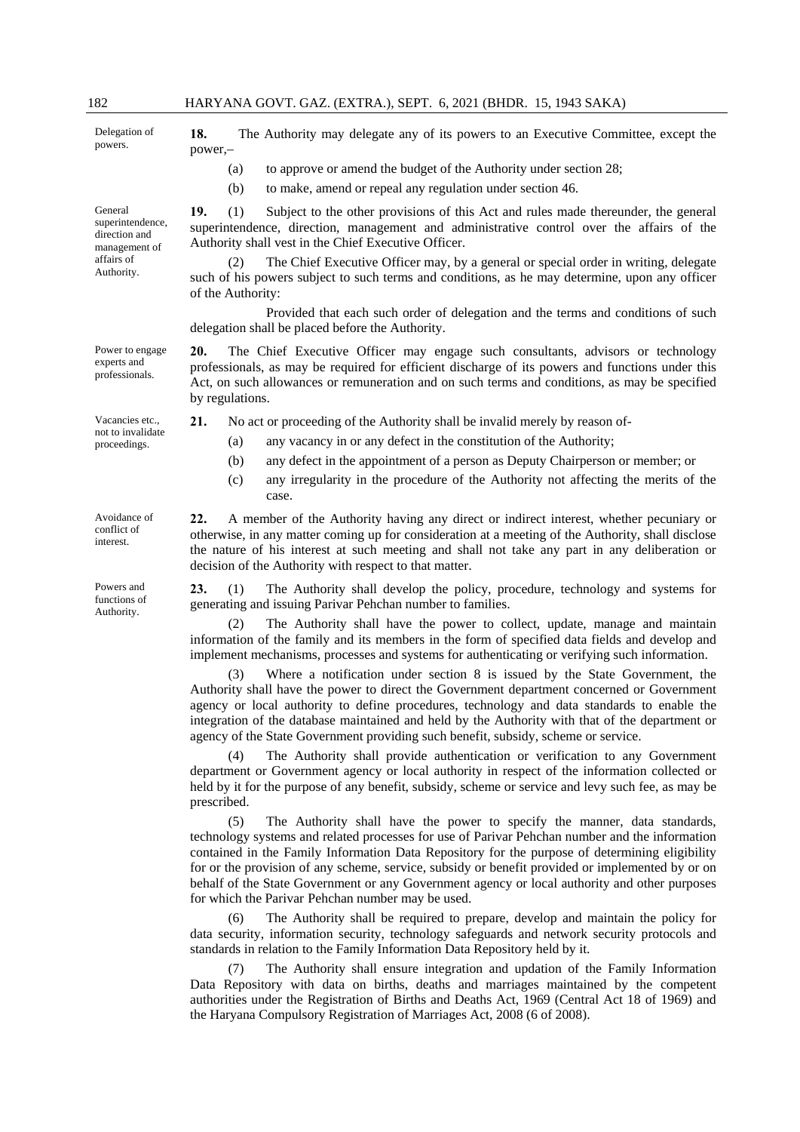Delegation of powers.

General superintendence, direction and management of affairs of Authority.

Power to engage experts and professionals.

Vacancies etc., not to invalidate proceedings.

Avoidance of conflict of interest.

Powers and functions of Authority.

**18.** The Authority may delegate any of its powers to an Executive Committee, except the power,–

- (a) to approve or amend the budget of the Authority under section 28;
- (b) to make, amend or repeal any regulation under section 46.

**19.** (1) Subject to the other provisions of this Act and rules made thereunder, the general superintendence, direction, management and administrative control over the affairs of the Authority shall vest in the Chief Executive Officer.

The Chief Executive Officer may, by a general or special order in writing, delegate such of his powers subject to such terms and conditions, as he may determine, upon any officer of the Authority:

 Provided that each such order of delegation and the terms and conditions of such delegation shall be placed before the Authority.

**20.** The Chief Executive Officer may engage such consultants, advisors or technology professionals, as may be required for efficient discharge of its powers and functions under this Act, on such allowances or remuneration and on such terms and conditions, as may be specified by regulations.

**21.** No act or proceeding of the Authority shall be invalid merely by reason of-

- (a) any vacancy in or any defect in the constitution of the Authority;
- (b) any defect in the appointment of a person as Deputy Chairperson or member; or
- (c) any irregularity in the procedure of the Authority not affecting the merits of the case.

**22.** A member of the Authority having any direct or indirect interest, whether pecuniary or otherwise, in any matter coming up for consideration at a meeting of the Authority, shall disclose the nature of his interest at such meeting and shall not take any part in any deliberation or decision of the Authority with respect to that matter.

**23.** (1) The Authority shall develop the policy, procedure, technology and systems for generating and issuing Parivar Pehchan number to families.

 (2) The Authority shall have the power to collect, update, manage and maintain information of the family and its members in the form of specified data fields and develop and implement mechanisms, processes and systems for authenticating or verifying such information.

 (3) Where a notification under section 8 is issued by the State Government, the Authority shall have the power to direct the Government department concerned or Government agency or local authority to define procedures, technology and data standards to enable the integration of the database maintained and held by the Authority with that of the department or agency of the State Government providing such benefit, subsidy, scheme or service.

 (4) The Authority shall provide authentication or verification to any Government department or Government agency or local authority in respect of the information collected or held by it for the purpose of any benefit, subsidy, scheme or service and levy such fee, as may be prescribed.

 (5) The Authority shall have the power to specify the manner, data standards, technology systems and related processes for use of Parivar Pehchan number and the information contained in the Family Information Data Repository for the purpose of determining eligibility for or the provision of any scheme, service, subsidy or benefit provided or implemented by or on behalf of the State Government or any Government agency or local authority and other purposes for which the Parivar Pehchan number may be used.

The Authority shall be required to prepare, develop and maintain the policy for data security, information security, technology safeguards and network security protocols and standards in relation to the Family Information Data Repository held by it.

 (7) The Authority shall ensure integration and updation of the Family Information Data Repository with data on births, deaths and marriages maintained by the competent authorities under the Registration of Births and Deaths Act, 1969 (Central Act 18 of 1969) and the Haryana Compulsory Registration of Marriages Act, 2008 (6 of 2008).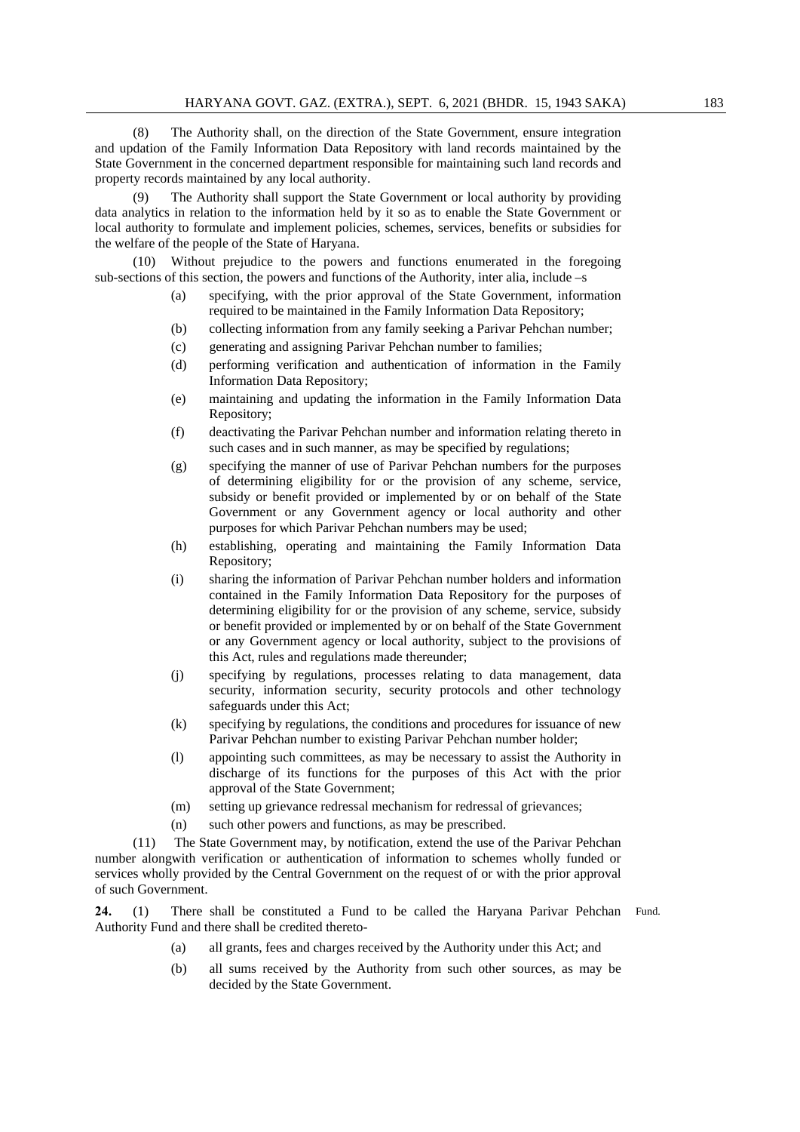(8) The Authority shall, on the direction of the State Government, ensure integration and updation of the Family Information Data Repository with land records maintained by the State Government in the concerned department responsible for maintaining such land records and property records maintained by any local authority.

 (9) The Authority shall support the State Government or local authority by providing data analytics in relation to the information held by it so as to enable the State Government or local authority to formulate and implement policies, schemes, services, benefits or subsidies for the welfare of the people of the State of Haryana.

 (10) Without prejudice to the powers and functions enumerated in the foregoing sub-sections of this section, the powers and functions of the Authority, inter alia, include –s

- (a) specifying, with the prior approval of the State Government, information required to be maintained in the Family Information Data Repository;
- (b) collecting information from any family seeking a Parivar Pehchan number;
- (c) generating and assigning Parivar Pehchan number to families;
- (d) performing verification and authentication of information in the Family Information Data Repository;
- (e) maintaining and updating the information in the Family Information Data Repository;
- (f) deactivating the Parivar Pehchan number and information relating thereto in such cases and in such manner, as may be specified by regulations;
- (g) specifying the manner of use of Parivar Pehchan numbers for the purposes of determining eligibility for or the provision of any scheme, service, subsidy or benefit provided or implemented by or on behalf of the State Government or any Government agency or local authority and other purposes for which Parivar Pehchan numbers may be used;
- (h) establishing, operating and maintaining the Family Information Data Repository;
- (i) sharing the information of Parivar Pehchan number holders and information contained in the Family Information Data Repository for the purposes of determining eligibility for or the provision of any scheme, service, subsidy or benefit provided or implemented by or on behalf of the State Government or any Government agency or local authority, subject to the provisions of this Act, rules and regulations made thereunder;
- (j) specifying by regulations, processes relating to data management, data security, information security, security protocols and other technology safeguards under this Act;
- (k) specifying by regulations, the conditions and procedures for issuance of new Parivar Pehchan number to existing Parivar Pehchan number holder;
- (l) appointing such committees, as may be necessary to assist the Authority in discharge of its functions for the purposes of this Act with the prior approval of the State Government;
- (m) setting up grievance redressal mechanism for redressal of grievances;
- (n) such other powers and functions, as may be prescribed.

 (11) The State Government may, by notification, extend the use of the Parivar Pehchan number alongwith verification or authentication of information to schemes wholly funded or services wholly provided by the Central Government on the request of or with the prior approval of such Government.

24. (1) There shall be constituted a Fund to be called the Haryana Parivar Pehchan Fund. Authority Fund and there shall be credited thereto-

- (a) all grants, fees and charges received by the Authority under this Act; and
- (b) all sums received by the Authority from such other sources, as may be decided by the State Government.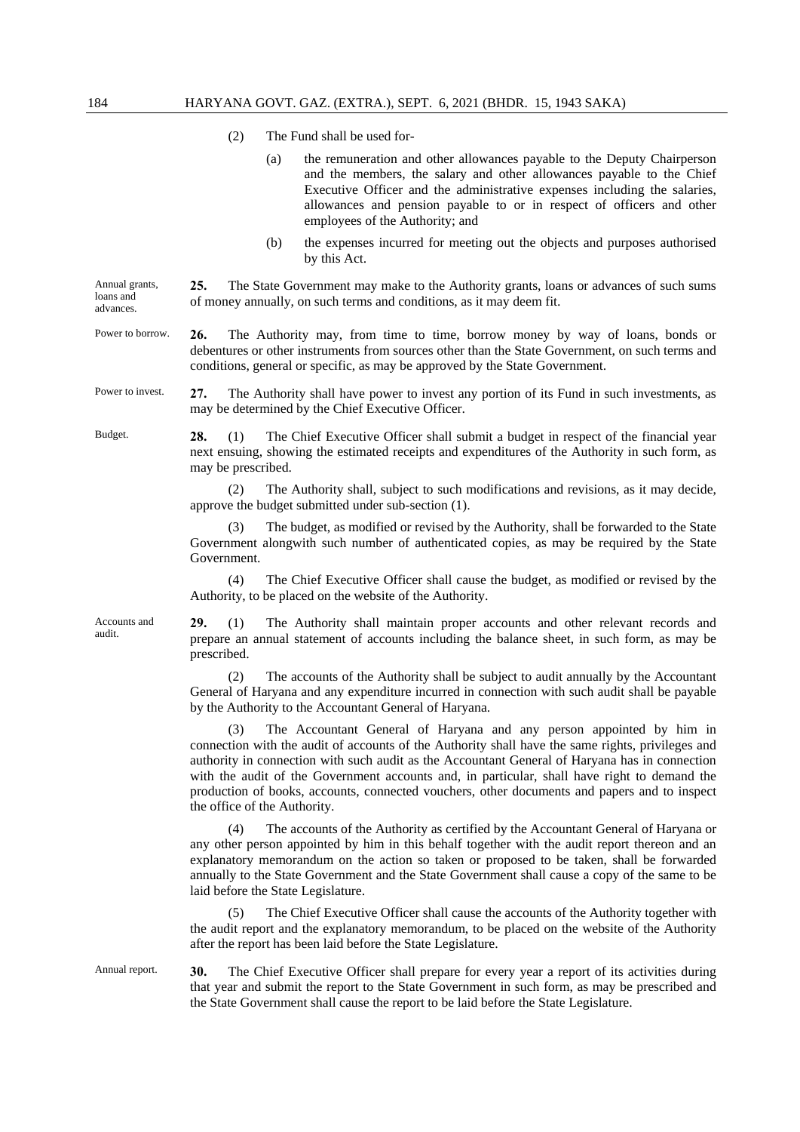- (2) The Fund shall be used for-
	- (a) the remuneration and other allowances payable to the Deputy Chairperson and the members, the salary and other allowances payable to the Chief Executive Officer and the administrative expenses including the salaries, allowances and pension payable to or in respect of officers and other employees of the Authority; and
	- (b) the expenses incurred for meeting out the objects and purposes authorised by this Act.

Annual grants, loans and advances. **25.** The State Government may make to the Authority grants, loans or advances of such sums of money annually, on such terms and conditions, as it may deem fit.

- Power to borrow. **26.** The Authority may, from time to time, borrow money by way of loans, bonds or debentures or other instruments from sources other than the State Government, on such terms and conditions, general or specific, as may be approved by the State Government.
- Power to invest. **27.** The Authority shall have power to invest any portion of its Fund in such investments, as may be determined by the Chief Executive Officer.
- 

Budget. **28.** (1) The Chief Executive Officer shall submit a budget in respect of the financial year next ensuing, showing the estimated receipts and expenditures of the Authority in such form, as may be prescribed.

> (2) The Authority shall, subject to such modifications and revisions, as it may decide, approve the budget submitted under sub-section (1).

> The budget, as modified or revised by the Authority, shall be forwarded to the State Government alongwith such number of authenticated copies, as may be required by the State Government.

> (4) The Chief Executive Officer shall cause the budget, as modified or revised by the Authority, to be placed on the website of the Authority.

Accounts and audit.

**29.** (1) The Authority shall maintain proper accounts and other relevant records and prepare an annual statement of accounts including the balance sheet, in such form, as may be prescribed.

 (2) The accounts of the Authority shall be subject to audit annually by the Accountant General of Haryana and any expenditure incurred in connection with such audit shall be payable by the Authority to the Accountant General of Haryana.

 (3) The Accountant General of Haryana and any person appointed by him in connection with the audit of accounts of the Authority shall have the same rights, privileges and authority in connection with such audit as the Accountant General of Haryana has in connection with the audit of the Government accounts and, in particular, shall have right to demand the production of books, accounts, connected vouchers, other documents and papers and to inspect the office of the Authority.

 (4) The accounts of the Authority as certified by the Accountant General of Haryana or any other person appointed by him in this behalf together with the audit report thereon and an explanatory memorandum on the action so taken or proposed to be taken, shall be forwarded annually to the State Government and the State Government shall cause a copy of the same to be laid before the State Legislature.

 (5) The Chief Executive Officer shall cause the accounts of the Authority together with the audit report and the explanatory memorandum, to be placed on the website of the Authority after the report has been laid before the State Legislature.

Annual report. **30.** The Chief Executive Officer shall prepare for every year a report of its activities during that year and submit the report to the State Government in such form, as may be prescribed and the State Government shall cause the report to be laid before the State Legislature.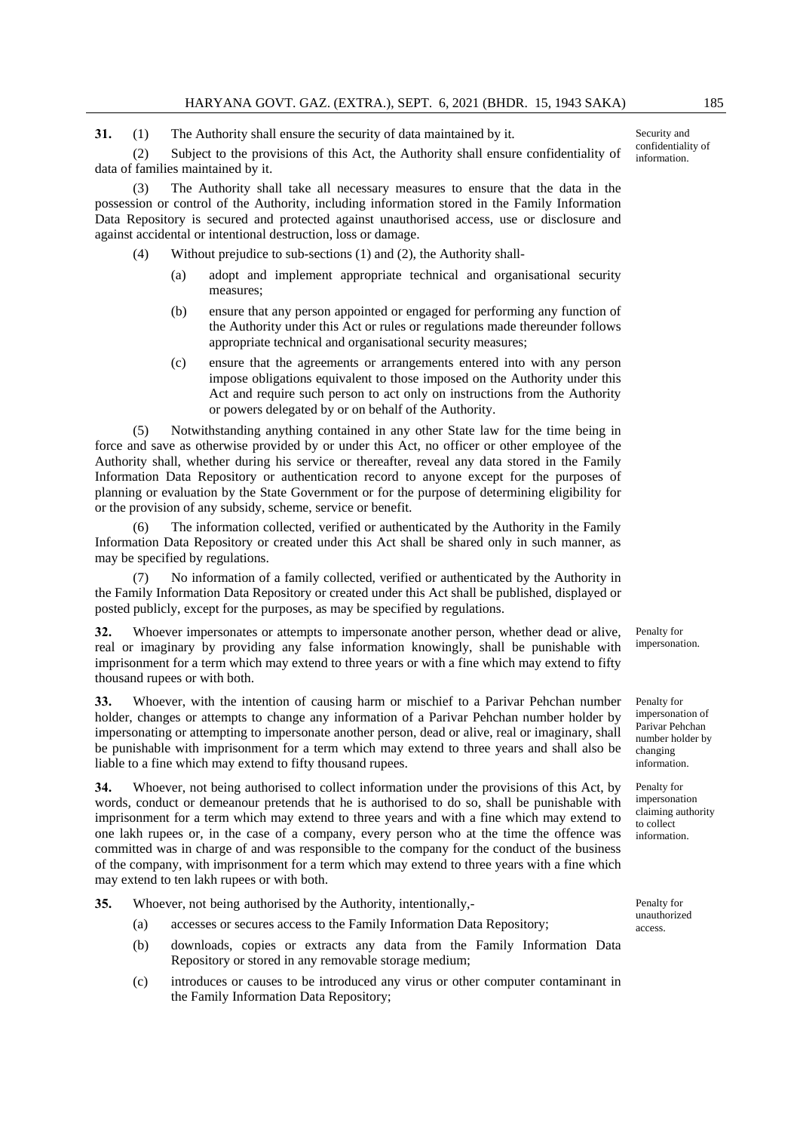**31.** (1) The Authority shall ensure the security of data maintained by it.

 (2) Subject to the provisions of this Act, the Authority shall ensure confidentiality of data of families maintained by it.

 (3) The Authority shall take all necessary measures to ensure that the data in the possession or control of the Authority, including information stored in the Family Information Data Repository is secured and protected against unauthorised access, use or disclosure and against accidental or intentional destruction, loss or damage.

(4) Without prejudice to sub-sections (1) and (2), the Authority shall-

- (a) adopt and implement appropriate technical and organisational security measures;
- (b) ensure that any person appointed or engaged for performing any function of the Authority under this Act or rules or regulations made thereunder follows appropriate technical and organisational security measures;
- (c) ensure that the agreements or arrangements entered into with any person impose obligations equivalent to those imposed on the Authority under this Act and require such person to act only on instructions from the Authority or powers delegated by or on behalf of the Authority.

 (5) Notwithstanding anything contained in any other State law for the time being in force and save as otherwise provided by or under this Act, no officer or other employee of the Authority shall, whether during his service or thereafter, reveal any data stored in the Family Information Data Repository or authentication record to anyone except for the purposes of planning or evaluation by the State Government or for the purpose of determining eligibility for or the provision of any subsidy, scheme, service or benefit.

 (6) The information collected, verified or authenticated by the Authority in the Family Information Data Repository or created under this Act shall be shared only in such manner, as may be specified by regulations.

 (7) No information of a family collected, verified or authenticated by the Authority in the Family Information Data Repository or created under this Act shall be published, displayed or posted publicly, except for the purposes, as may be specified by regulations.

**32.** Whoever impersonates or attempts to impersonate another person, whether dead or alive, real or imaginary by providing any false information knowingly, shall be punishable with imprisonment for a term which may extend to three years or with a fine which may extend to fifty thousand rupees or with both.

**33.** Whoever, with the intention of causing harm or mischief to a Parivar Pehchan number holder, changes or attempts to change any information of a Parivar Pehchan number holder by impersonating or attempting to impersonate another person, dead or alive, real or imaginary, shall be punishable with imprisonment for a term which may extend to three years and shall also be liable to a fine which may extend to fifty thousand rupees.

**34.** Whoever, not being authorised to collect information under the provisions of this Act, by words, conduct or demeanour pretends that he is authorised to do so, shall be punishable with imprisonment for a term which may extend to three years and with a fine which may extend to one lakh rupees or, in the case of a company, every person who at the time the offence was committed was in charge of and was responsible to the company for the conduct of the business of the company, with imprisonment for a term which may extend to three years with a fine which may extend to ten lakh rupees or with both.

**35.** Whoever, not being authorised by the Authority, intentionally,-

- (a) accesses or secures access to the Family Information Data Repository;
- (b) downloads, copies or extracts any data from the Family Information Data Repository or stored in any removable storage medium;
- (c) introduces or causes to be introduced any virus or other computer contaminant in the Family Information Data Repository;

Penalty for impersonation.

Penalty for impersonation of Parivar Pehchan number holder by changing information.

Penalty for impersonation claiming authority to collect information.

Penalty for unauthorized access.

Security and confidentiality of information.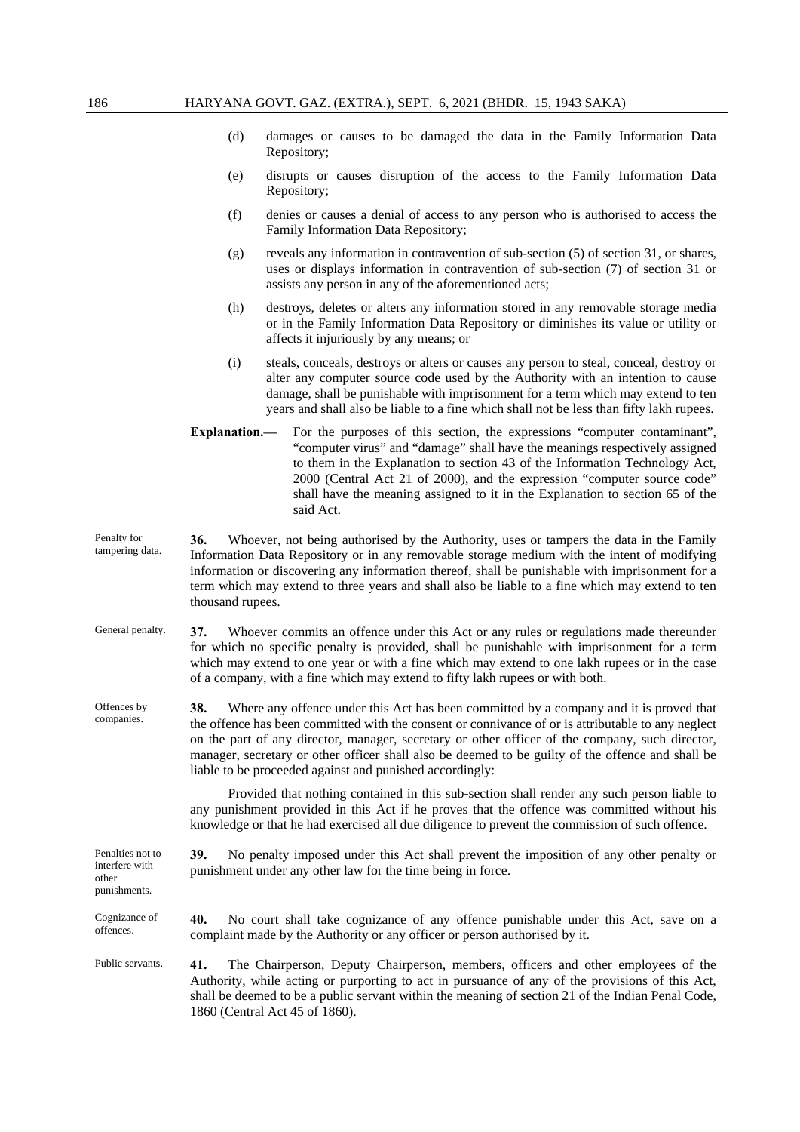- (d) damages or causes to be damaged the data in the Family Information Data Repository;
- (e) disrupts or causes disruption of the access to the Family Information Data Repository;
- (f) denies or causes a denial of access to any person who is authorised to access the Family Information Data Repository;
- (g) reveals any information in contravention of sub-section (5) of section 31, or shares, uses or displays information in contravention of sub-section (7) of section 31 or assists any person in any of the aforementioned acts;
- (h) destroys, deletes or alters any information stored in any removable storage media or in the Family Information Data Repository or diminishes its value or utility or affects it injuriously by any means; or
- (i) steals, conceals, destroys or alters or causes any person to steal, conceal, destroy or alter any computer source code used by the Authority with an intention to cause damage, shall be punishable with imprisonment for a term which may extend to ten years and shall also be liable to a fine which shall not be less than fifty lakh rupees.
- **Explanation.—** For the purposes of this section, the expressions "computer contaminant", "computer virus" and "damage" shall have the meanings respectively assigned to them in the Explanation to section 43 of the Information Technology Act, 2000 (Central Act 21 of 2000), and the expression "computer source code" shall have the meaning assigned to it in the Explanation to section 65 of the said Act.
- Penalty for tampering data. **36.** Whoever, not being authorised by the Authority, uses or tampers the data in the Family Information Data Repository or in any removable storage medium with the intent of modifying information or discovering any information thereof, shall be punishable with imprisonment for a term which may extend to three years and shall also be liable to a fine which may extend to ten thousand rupees.
- General penalty. **37.** Whoever commits an offence under this Act or any rules or regulations made thereunder for which no specific penalty is provided, shall be punishable with imprisonment for a term which may extend to one year or with a fine which may extend to one lakh rupees or in the case of a company, with a fine which may extend to fifty lakh rupees or with both.
- Offences by companies. **38.** Where any offence under this Act has been committed by a company and it is proved that the offence has been committed with the consent or connivance of or is attributable to any neglect on the part of any director, manager, secretary or other officer of the company, such director, manager, secretary or other officer shall also be deemed to be guilty of the offence and shall be liable to be proceeded against and punished accordingly:

 Provided that nothing contained in this sub-section shall render any such person liable to any punishment provided in this Act if he proves that the offence was committed without his knowledge or that he had exercised all due diligence to prevent the commission of such offence.

Penalties not to interfere with other punishments. **39.** No penalty imposed under this Act shall prevent the imposition of any other penalty or punishment under any other law for the time being in force. Cognizance of offences. **40.** No court shall take cognizance of any offence punishable under this Act, save on a complaint made by the Authority or any officer or person authorised by it. Public servants. **41.** The Chairperson, Deputy Chairperson, members, officers and other employees of the Authority, while acting or purporting to act in pursuance of any of the provisions of this Act, shall be deemed to be a public servant within the meaning of section 21 of the Indian Penal Code,

1860 (Central Act 45 of 1860).